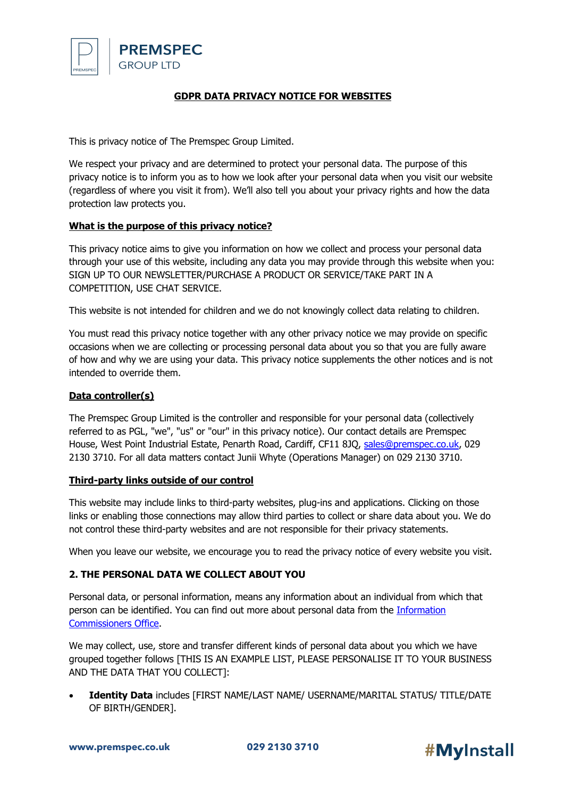

## **GDPR DATA PRIVACY NOTICE FOR WEBSITES**

This is privacy notice of The Premspec Group Limited.

**PREMSPEC** 

**GROUP LTD** 

We respect your privacy and are determined to protect your personal data. The purpose of this privacy notice is to inform you as to how we look after your personal data when you visit our website (regardless of where you visit it from). We'll also tell you about your privacy rights and how the data protection law protects you.

#### **What is the purpose of this privacy notice?**

This privacy notice aims to give you information on how we collect and process your personal data through your use of this website, including any data you may provide through this website when you: SIGN UP TO OUR NEWSLETTER/PURCHASE A PRODUCT OR SERVICE/TAKE PART IN A COMPETITION, USE CHAT SERVICE.

This website is not intended for children and we do not knowingly collect data relating to children.

You must read this privacy notice together with any other privacy notice we may provide on specific occasions when we are collecting or processing personal data about you so that you are fully aware of how and why we are using your data. This privacy notice supplements the other notices and is not intended to override them.

#### **Data controller(s)**

The Premspec Group Limited is the controller and responsible for your personal data (collectively referred to as PGL, "we", "us" or "our" in this privacy notice). Our contact details are Premspec House, West Point Industrial Estate, Penarth Road, Cardiff, CF11 8JQ, sales@premspec.co.uk, 029 2130 3710. For all data matters contact Junii Whyte (Operations Manager) on 029 2130 3710.

#### **Third-party links outside of our control**

This website may include links to third-party websites, plug-ins and applications. Clicking on those links or enabling those connections may allow third parties to collect or share data about you. We do not control these third-party websites and are not responsible for their privacy statements.

When you leave our website, we encourage you to read the privacy notice of every website you visit.

#### **2. THE PERSONAL DATA WE COLLECT ABOUT YOU**

Personal data, or personal information, means any information about an individual from which that person can be identified. You can find out more about personal data from the Information Commissioners Office.

We may collect, use, store and transfer different kinds of personal data about you which we have grouped together follows [THIS IS AN EXAMPLE LIST, PLEASE PERSONALISE IT TO YOUR BUSINESS AND THE DATA THAT YOU COLLECT]:

• **Identity Data** includes [FIRST NAME/LAST NAME/ USERNAME/MARITAL STATUS/ TITLE/DATE OF BIRTH/GENDER].

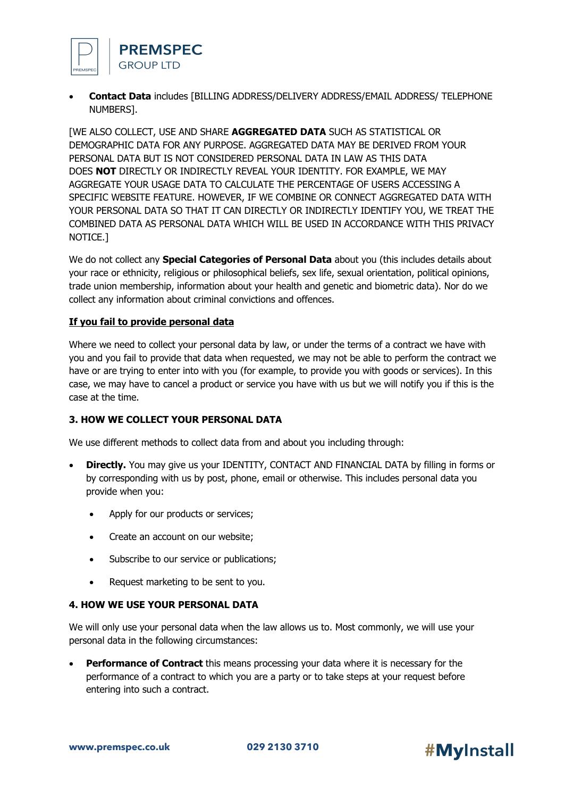

• **Contact Data** includes [BILLING ADDRESS/DELIVERY ADDRESS/EMAIL ADDRESS/ TELEPHONE NUMBERS].

[WE ALSO COLLECT, USE AND SHARE **AGGREGATED DATA** SUCH AS STATISTICAL OR DEMOGRAPHIC DATA FOR ANY PURPOSE. AGGREGATED DATA MAY BE DERIVED FROM YOUR PERSONAL DATA BUT IS NOT CONSIDERED PERSONAL DATA IN LAW AS THIS DATA DOES **NOT** DIRECTLY OR INDIRECTLY REVEAL YOUR IDENTITY. FOR EXAMPLE, WE MAY AGGREGATE YOUR USAGE DATA TO CALCULATE THE PERCENTAGE OF USERS ACCESSING A SPECIFIC WEBSITE FEATURE. HOWEVER, IF WE COMBINE OR CONNECT AGGREGATED DATA WITH YOUR PERSONAL DATA SO THAT IT CAN DIRECTLY OR INDIRECTLY IDENTIFY YOU, WE TREAT THE COMBINED DATA AS PERSONAL DATA WHICH WILL BE USED IN ACCORDANCE WITH THIS PRIVACY NOTICE.]

We do not collect any **Special Categories of Personal Data** about you (this includes details about your race or ethnicity, religious or philosophical beliefs, sex life, sexual orientation, political opinions, trade union membership, information about your health and genetic and biometric data). Nor do we collect any information about criminal convictions and offences.

### **If you fail to provide personal data**

Where we need to collect your personal data by law, or under the terms of a contract we have with you and you fail to provide that data when requested, we may not be able to perform the contract we have or are trying to enter into with you (for example, to provide you with goods or services). In this case, we may have to cancel a product or service you have with us but we will notify you if this is the case at the time.

## **3. HOW WE COLLECT YOUR PERSONAL DATA**

We use different methods to collect data from and about you including through:

- **Directly.** You may give us your IDENTITY, CONTACT AND FINANCIAL DATA by filling in forms or by corresponding with us by post, phone, email or otherwise. This includes personal data you provide when you:
	- Apply for our products or services:
	- Create an account on our website:
	- Subscribe to our service or publications;
	- Request marketing to be sent to you.

### **4. HOW WE USE YOUR PERSONAL DATA**

We will only use your personal data when the law allows us to. Most commonly, we will use your personal data in the following circumstances:

• **Performance of Contract** this means processing your data where it is necessary for the performance of a contract to which you are a party or to take steps at your request before entering into such a contract.

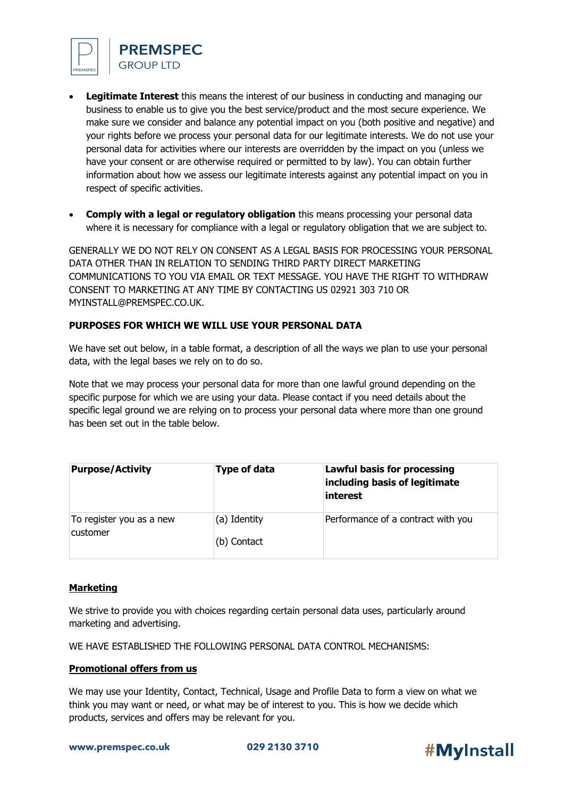

**PREMSPEC** 

**GROUP LTD** 

- **Legitimate Interest** this means the interest of our business in conducting and managing our business to enable us to give you the best service/product and the most secure experience. We make sure we consider and balance any potential impact on you (both positive and negative) and your rights before we process your personal data for our legitimate interests. We do not use your personal data for activities where our interests are overridden by the impact on you (unless we have your consent or are otherwise required or permitted to by law). You can obtain further information about how we assess our legitimate interests against any potential impact on you in respect of specific activities.
- **Comply with a legal or regulatory obligation** this means processing your personal data where it is necessary for compliance with a legal or regulatory obligation that we are subject to.

GENERALLY WE DO NOT RELY ON CONSENT AS A LEGAL BASIS FOR PROCESSING YOUR PERSONAL DATA OTHER THAN IN RELATION TO SENDING THIRD PARTY DIRECT MARKETING COMMUNICATIONS TO YOU VIA EMAIL OR TEXT MESSAGE. YOU HAVE THE RIGHT TO WITHDRAW CONSENT TO MARKETING AT ANY TIME BY CONTACTING US 02921 303 710 OR MYINSTALL@PREMSPEC.CO.UK.

## **PURPOSES FOR WHICH WE WILL USE YOUR PERSONAL DATA**

We have set out below, in a table format, a description of all the ways we plan to use your personal data, with the legal bases we rely on to do so.

Note that we may process your personal data for more than one lawful ground depending on the specific purpose for which we are using your data. Please contact if you need details about the specific legal ground we are relying on to process your personal data where more than one ground has been set out in the table below.

| <b>Purpose/Activity</b>              | Type of data                | <b>Lawful basis for processing</b><br>including basis of legitimate<br>interest |
|--------------------------------------|-----------------------------|---------------------------------------------------------------------------------|
| To register you as a new<br>customer | (a) Identity<br>(b) Contact | Performance of a contract with you                                              |

# **Marketing**

We strive to provide you with choices regarding certain personal data uses, particularly around marketing and advertising.

WE HAVE ESTABLISHED THE FOLLOWING PERSONAL DATA CONTROL MECHANISMS:

# **Promotional offers from us**

We may use your Identity, Contact, Technical, Usage and Profile Data to form a view on what we think you may want or need, or what may be of interest to you. This is how we decide which products, services and offers may be relevant for you.

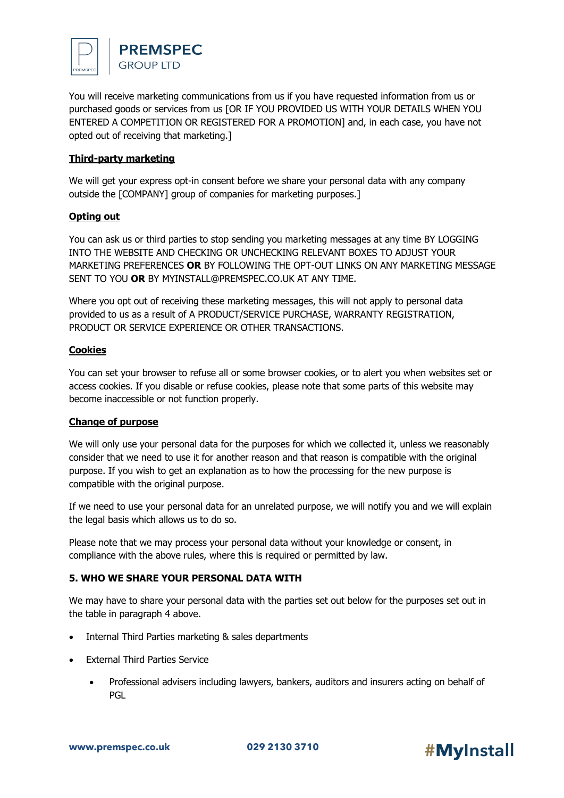

You will receive marketing communications from us if you have requested information from us or purchased goods or services from us [OR IF YOU PROVIDED US WITH YOUR DETAILS WHEN YOU ENTERED A COMPETITION OR REGISTERED FOR A PROMOTION] and, in each case, you have not opted out of receiving that marketing.]

### **Third-party marketing**

We will get your express opt-in consent before we share your personal data with any company outside the [COMPANY] group of companies for marketing purposes.]

### **Opting out**

You can ask us or third parties to stop sending you marketing messages at any time BY LOGGING INTO THE WEBSITE AND CHECKING OR UNCHECKING RELEVANT BOXES TO ADJUST YOUR MARKETING PREFERENCES **OR** BY FOLLOWING THE OPT-OUT LINKS ON ANY MARKETING MESSAGE SENT TO YOU **OR** BY MYINSTALL@PREMSPEC.CO.UK AT ANY TIME.

Where you opt out of receiving these marketing messages, this will not apply to personal data provided to us as a result of A PRODUCT/SERVICE PURCHASE, WARRANTY REGISTRATION, PRODUCT OR SERVICE EXPERIENCE OR OTHER TRANSACTIONS.

## **Cookies**

You can set your browser to refuse all or some browser cookies, or to alert you when websites set or access cookies. If you disable or refuse cookies, please note that some parts of this website may become inaccessible or not function properly.

### **Change of purpose**

We will only use your personal data for the purposes for which we collected it, unless we reasonably consider that we need to use it for another reason and that reason is compatible with the original purpose. If you wish to get an explanation as to how the processing for the new purpose is compatible with the original purpose.

If we need to use your personal data for an unrelated purpose, we will notify you and we will explain the legal basis which allows us to do so.

Please note that we may process your personal data without your knowledge or consent, in compliance with the above rules, where this is required or permitted by law.

# **5. WHO WE SHARE YOUR PERSONAL DATA WITH**

We may have to share your personal data with the parties set out below for the purposes set out in the table in paragraph 4 above.

- Internal Third Parties marketing & sales departments
- External Third Parties Service
	- Professional advisers including lawyers, bankers, auditors and insurers acting on behalf of PGL

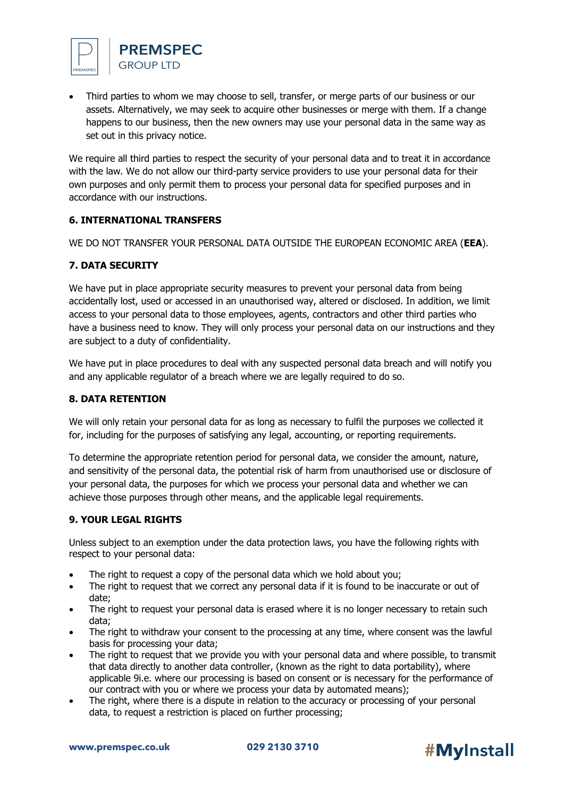

• Third parties to whom we may choose to sell, transfer, or merge parts of our business or our assets. Alternatively, we may seek to acquire other businesses or merge with them. If a change happens to our business, then the new owners may use your personal data in the same way as set out in this privacy notice.

We require all third parties to respect the security of your personal data and to treat it in accordance with the law. We do not allow our third-party service providers to use your personal data for their own purposes and only permit them to process your personal data for specified purposes and in accordance with our instructions.

### **6. INTERNATIONAL TRANSFERS**

WE DO NOT TRANSFER YOUR PERSONAL DATA OUTSIDE THE EUROPEAN ECONOMIC AREA (**EEA**).

## **7. DATA SECURITY**

We have put in place appropriate security measures to prevent your personal data from being accidentally lost, used or accessed in an unauthorised way, altered or disclosed. In addition, we limit access to your personal data to those employees, agents, contractors and other third parties who have a business need to know. They will only process your personal data on our instructions and they are subject to a duty of confidentiality.

We have put in place procedures to deal with any suspected personal data breach and will notify you and any applicable regulator of a breach where we are legally required to do so.

#### **8. DATA RETENTION**

We will only retain your personal data for as long as necessary to fulfil the purposes we collected it for, including for the purposes of satisfying any legal, accounting, or reporting requirements.

To determine the appropriate retention period for personal data, we consider the amount, nature, and sensitivity of the personal data, the potential risk of harm from unauthorised use or disclosure of your personal data, the purposes for which we process your personal data and whether we can achieve those purposes through other means, and the applicable legal requirements.

#### **9. YOUR LEGAL RIGHTS**

Unless subject to an exemption under the data protection laws, you have the following rights with respect to your personal data:

- The right to request a copy of the personal data which we hold about you;
- The right to request that we correct any personal data if it is found to be inaccurate or out of date;
- The right to request your personal data is erased where it is no longer necessary to retain such data;
- The right to withdraw your consent to the processing at any time, where consent was the lawful basis for processing your data;
- The right to request that we provide you with your personal data and where possible, to transmit that data directly to another data controller, (known as the right to data portability), where applicable 9i.e. where our processing is based on consent or is necessary for the performance of our contract with you or where we process your data by automated means);
- The right, where there is a dispute in relation to the accuracy or processing of your personal data, to request a restriction is placed on further processing;

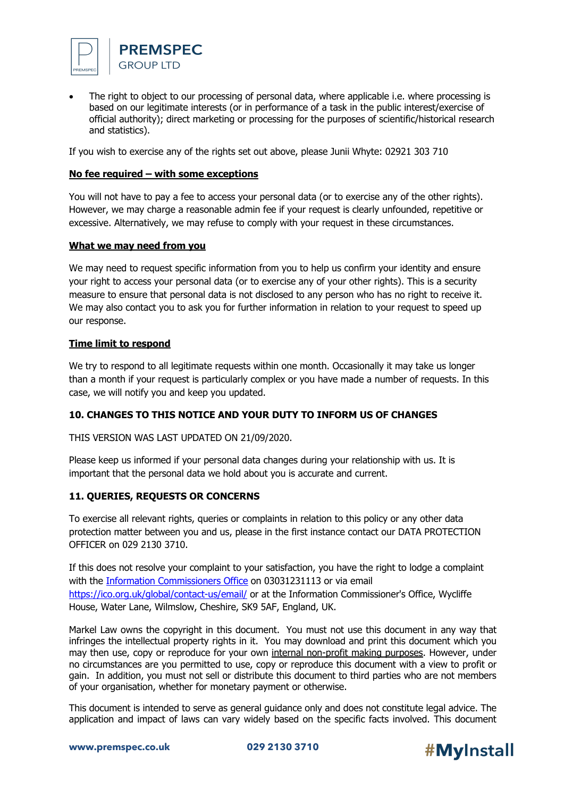

The right to object to our processing of personal data, where applicable i.e. where processing is based on our legitimate interests (or in performance of a task in the public interest/exercise of official authority); direct marketing or processing for the purposes of scientific/historical research and statistics).

If you wish to exercise any of the rights set out above, please Junii Whyte: 02921 303 710

### **No fee required – with some exceptions**

You will not have to pay a fee to access your personal data (or to exercise any of the other rights). However, we may charge a reasonable admin fee if your request is clearly unfounded, repetitive or excessive. Alternatively, we may refuse to comply with your request in these circumstances.

#### **What we may need from you**

We may need to request specific information from you to help us confirm your identity and ensure your right to access your personal data (or to exercise any of your other rights). This is a security measure to ensure that personal data is not disclosed to any person who has no right to receive it. We may also contact you to ask you for further information in relation to your request to speed up our response.

### **Time limit to respond**

We try to respond to all legitimate requests within one month. Occasionally it may take us longer than a month if your request is particularly complex or you have made a number of requests. In this case, we will notify you and keep you updated.

### **10. CHANGES TO THIS NOTICE AND YOUR DUTY TO INFORM US OF CHANGES**

THIS VERSION WAS LAST UPDATED ON 21/09/2020.

Please keep us informed if your personal data changes during your relationship with us. It is important that the personal data we hold about you is accurate and current.

### **11. QUERIES, REQUESTS OR CONCERNS**

To exercise all relevant rights, queries or complaints in relation to this policy or any other data protection matter between you and us, please in the first instance contact our DATA PROTECTION OFFICER on 029 2130 3710.

If this does not resolve your complaint to your satisfaction, you have the right to lodge a complaint with the Information Commissioners Office on 03031231113 or via email https://ico.org.uk/global/contact-us/email/ or at the Information Commissioner's Office, Wycliffe House, Water Lane, Wilmslow, Cheshire, SK9 5AF, England, UK.

Markel Law owns the copyright in this document. You must not use this document in any way that infringes the intellectual property rights in it. You may download and print this document which you may then use, copy or reproduce for your own internal non-profit making purposes. However, under no circumstances are you permitted to use, copy or reproduce this document with a view to profit or gain. In addition, you must not sell or distribute this document to third parties who are not members of your organisation, whether for monetary payment or otherwise.

This document is intended to serve as general guidance only and does not constitute legal advice. The application and impact of laws can vary widely based on the specific facts involved. This document